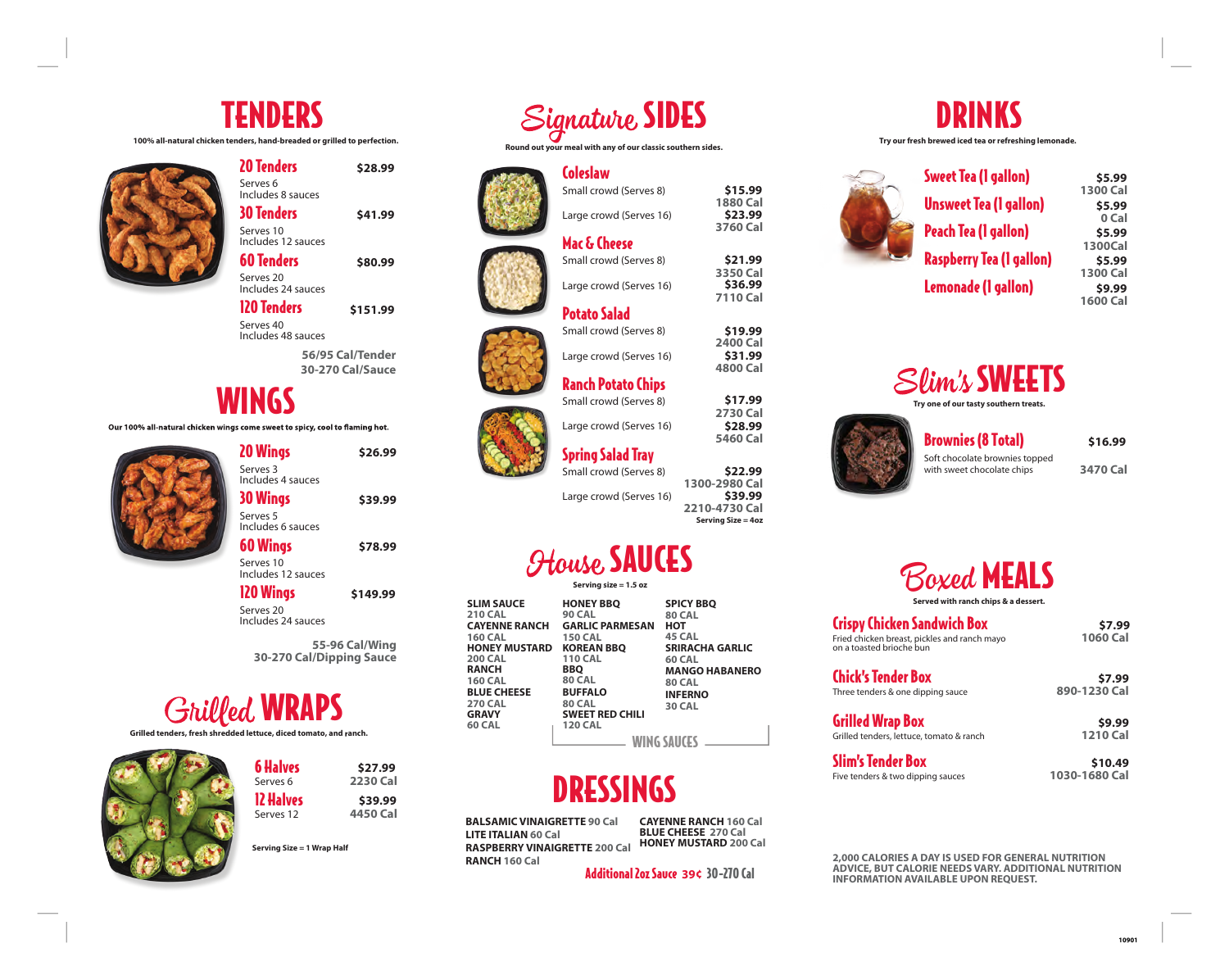## TENDERS

**100% all-natural chicken tenders, hand-breaded or grilled to perfection.** 



| 20 Tenders                               | \$28.99 |
|------------------------------------------|---------|
| Serves <sub>6</sub><br>Includes 8 sauces |         |
| <b>30 Tenders</b>                        | \$41.99 |
| Serves 10<br>Includes 12 sauces          |         |
| <b>60 Tenders</b>                        | \$80.99 |
| Serves 20<br>Includes 24 sauces          |         |
|                                          |         |

120 Tenders Serves 40 Includes 48 sauces **\$151.99**

> **56/95 Cal/Tender 30-270 Cal/Sauce**

### WINGS

Our 100% all-natural chicken wings come sweet to spicy, cool to flaming hot.

20 Wings Serves 3 Includes 4 sauces 30 Wings Serves 5 Includes 6 sauces **\$26.99 \$39.99**

60 Wings Serves 10 **\$78.99**

120 Wings Serves 20 Includes 24 sauces **\$149.99**

Includes 12 sauces

**55-96 Cal/Wing 30-270 Cal/Dipping Sauce** 

# **Grilled WRAPS**

**Grilled tenders, fresh shredded lettuce, diced tomato, and ranch.** 



| <b>6 Halves</b> | \$27.99         |
|-----------------|-----------------|
| Serves 6        | <b>2230 Cal</b> |
| 12 Halves       | \$39.99         |
| Serves 12       | 4450 Cal        |

**Serving Size = 1 Wrap Half** 



**Round out your meal with any of our classic southern sides.** 

Small crowd (Serves 8)

Large crowd (Serves 16)

Large crowd (Serves 16)

Large crowd (Serves 16)

Ranch Potato Chips

Mac & Cheese Small crowd (Serves 8)

Potato Salad Small crowd (Serves 8) **1880 Cal** 

**\$15.99 \$23.99**

**3760 Cal** 

**3350 Cal** 

**\$21.99 \$36.99**

**7110 Cal** 

**2400 Cal** 

**\$19.99 \$31.99**

**4800 Cal**

**2730 Cal** 

**\$17.99 \$28.99**

**5460 Cal** 

**\$22.99 \$39.99**

**2210-4730 Cal Serving Size = 4oz** 

Coleslaw











Spring Salad Tray Small crowd (Serves 8) **1300-2980 Cal** 

Large crowd (Serves 16)

## *<u>House SAUCES</u>*

**Serving size = 1.5 oz**

| <b>SLIM SAUCE</b><br><b>210 CAL</b><br><b>CAYENNE RANCH</b><br><b>160 CAL</b><br><b>HONEY MUSTARD</b><br><b>200 CAL</b><br><b>RANCH</b><br><b>160 CAL</b><br><b>BLUE CHEESE</b><br><b>270 CAL</b><br><b>GRAVY</b><br><b>60 CAL</b> | <b>HONEY BBQ</b><br><b>90 CAL</b><br><b>GARLIC PARMESAN</b><br><b>150 CAL</b><br><b>KOREAN BBO</b><br><b>110 CAL</b><br><b>BBQ</b><br><b>80 CAL</b><br><b>BUFFALO</b><br><b>80 CAL</b><br><b>SWEET RED CHILI</b><br><b>120 CAL</b> | <b>SPICY BBO</b><br><b>80 CAL</b><br>нот<br>45 CAL<br><b>SRIRACHA GARLIC</b><br><b>60 CAL</b><br><b>MANGO HABANERO</b><br><b>80 CAL</b><br><b>INFERNO</b><br><b>30 CAL</b> |  |
|------------------------------------------------------------------------------------------------------------------------------------------------------------------------------------------------------------------------------------|------------------------------------------------------------------------------------------------------------------------------------------------------------------------------------------------------------------------------------|----------------------------------------------------------------------------------------------------------------------------------------------------------------------------|--|
|                                                                                                                                                                                                                                    | <b>WING SAUCE</b>                                                                                                                                                                                                                  |                                                                                                                                                                            |  |

# DRESSINGS

**BALSAMIC VINAIGRETTE 90 Cal LITE ITALIAN 60 Cal RASPBERRY VINAIGRETTE 200 Cal RANCH 160 Cal**

**CAYENNE RANCH 160 Cal BLUE CHEESE 270 Cal HONEY MUSTARD 200 Cal** 

Additional 2oz Sauce 30-270 Cal **39¢**



**Try our fresh brewed iced tea or refreshing lemonade.** 



**1300 Cal 0 Cal 1300Cal 1300 Cal 1600 Cal \$5.99 \$5.99 \$5.99 \$5.99 \$9.99**



**Try one of our tasty southern treats.**



**3470 Cal**  Soft chocolate brownies topped **\$16.99**

Boxed MEALS **Served with ranch chips & a dessert.** 

Crispy Chicken Sandwich Box Fried chicken breast, pickles and ranch mayo **1060 Cal**  on a toasted brioche bun

**\$7.99**

Chick's Tender Box Three tenders & one dipping sauce **890-1230 Cal**

Grilled Wrap Box

Grilled tenders, lettuce, tomato & ranch **1210 Cal** Slim's Tender Box

Five tenders & two dipping sauces **1030-1680 Cal \$10.49**



**INFORMATION AVAILABLE UPON REQUEST.** 

**\$7.99**

**\$9.99**

**10901**